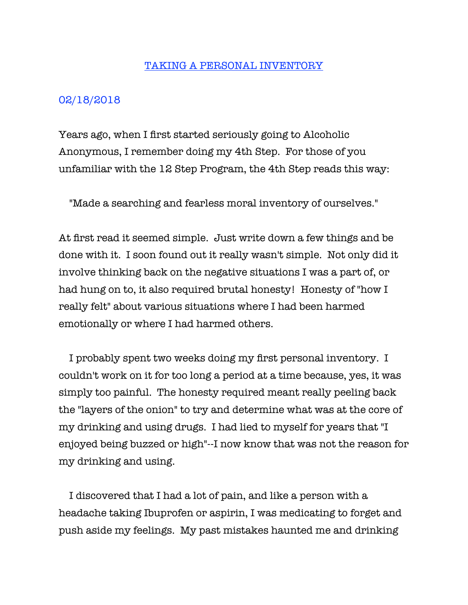## TAKING A PERSONAL INVENTORY

## 02/18/2018

Years ago, when I first started seriously going to Alcoholic Anonymous, I remember doing my 4th Step. For those of you unfamiliar with the 12 Step Program, the 4th Step reads this way:

"Made a searching and fearless moral inventory of ourselves."

At first read it seemed simple. Just write down a few things and be done with it. I soon found out it really wasn't simple. Not only did it involve thinking back on the negative situations I was a part of, or had hung on to, it also required brutal honesty! Honesty of "how I really felt" about various situations where I had been harmed emotionally or where I had harmed others.

 I probably spent two weeks doing my first personal inventory. I couldn't work on it for too long a period at a time because, yes, it was simply too painful. The honesty required meant really peeling back the "layers of the onion" to try and determine what was at the core of my drinking and using drugs. I had lied to myself for years that "I enjoyed being buzzed or high"--I now know that was not the reason for my drinking and using.

 I discovered that I had a lot of pain, and like a person with a headache taking Ibuprofen or aspirin, I was medicating to forget and push aside my feelings. My past mistakes haunted me and drinking